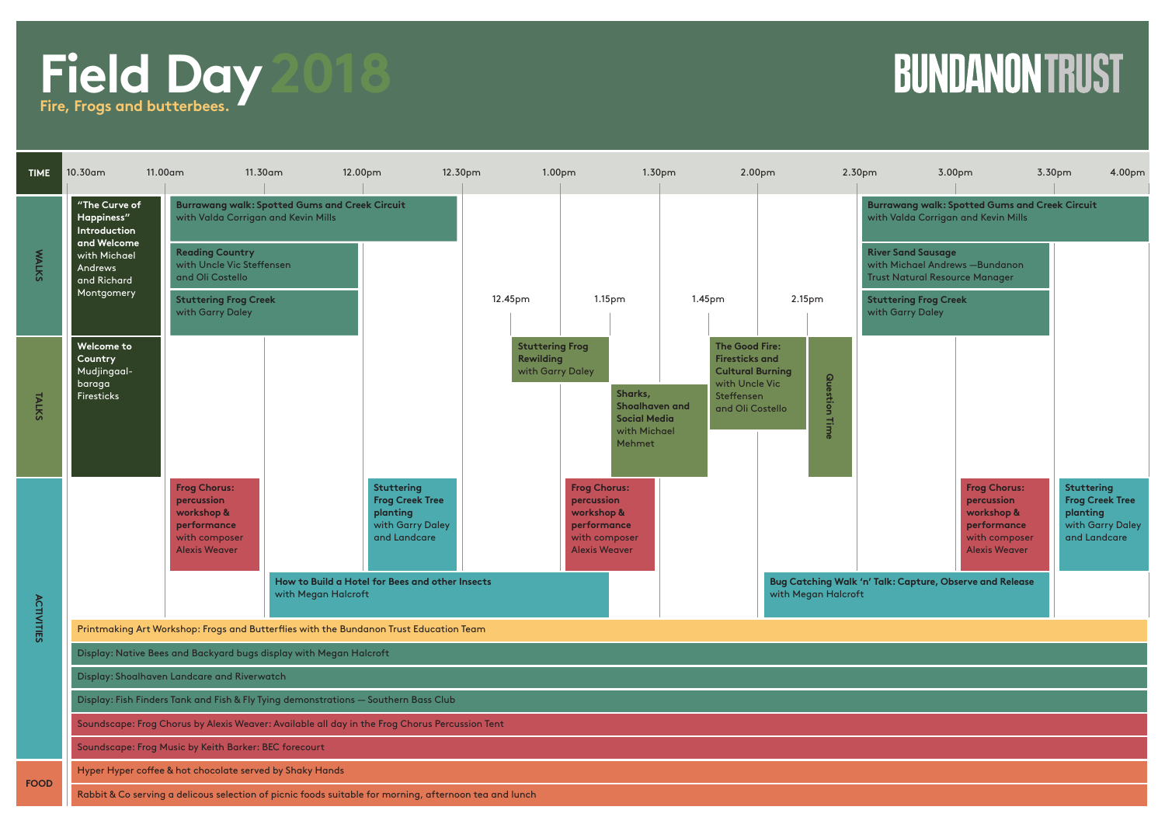## **Field Day Fire, Frogs and butterbees. 2018**

## **BUNDANON TRUST**

| <b>TIME</b>       | 10.30am                                                                                                            | 11.00am                                                                                                 | 11.30am                                               | 12.00pm<br>12.30pm                                                                   |                                                                | 1.00pm                                                                                                  | 1.30pm                                                                                                                        | 2.00pm                                                                                       | 2.30pm                                           | 3.00pm                                                                                                  | 3.30pm<br>4.00pm                                                                            |
|-------------------|--------------------------------------------------------------------------------------------------------------------|---------------------------------------------------------------------------------------------------------|-------------------------------------------------------|--------------------------------------------------------------------------------------|----------------------------------------------------------------|---------------------------------------------------------------------------------------------------------|-------------------------------------------------------------------------------------------------------------------------------|----------------------------------------------------------------------------------------------|--------------------------------------------------|---------------------------------------------------------------------------------------------------------|---------------------------------------------------------------------------------------------|
| <b>WALKS</b>      | "The Curve of<br>Happiness"<br>Introduction<br>and Welcome<br>with Michael<br>Andrews<br>and Richard<br>Montgomery | with Valda Corrigan and Kevin Mills                                                                     | <b>Burrawang walk: Spotted Gums and Creek Circuit</b> |                                                                                      |                                                                |                                                                                                         |                                                                                                                               | <b>Burrawang walk: Spotted Gums and Creek Circuit</b><br>with Valda Corrigan and Kevin Mills |                                                  |                                                                                                         |                                                                                             |
|                   |                                                                                                                    | <b>Reading Country</b><br>with Uncle Vic Steffensen<br>and Oli Costello                                 |                                                       |                                                                                      |                                                                |                                                                                                         |                                                                                                                               |                                                                                              |                                                  | <b>River Sand Sausage</b><br>with Michael Andrews - Bundanon<br><b>Trust Natural Resource Manager</b>   |                                                                                             |
|                   |                                                                                                                    | <b>Stuttering Frog Creek</b><br>with Garry Daley                                                        |                                                       |                                                                                      | 12.45pm                                                        | 1.15 <sub>pm</sub>                                                                                      | 1.45 <sub>pm</sub>                                                                                                            | 2.15pm                                                                                       | <b>Stuttering Frog Creek</b><br>with Garry Daley |                                                                                                         |                                                                                             |
| TALKS             | Welcome to<br>Country<br>Mudjingaal-<br>baraga<br><b>Firesticks</b>                                                |                                                                                                         |                                                       |                                                                                      | <b>Stuttering Frog</b><br><b>Rewilding</b><br>with Garry Daley | Sharks,<br>Shoalhaven and<br><b>Social Media</b><br>with Michael<br>Mehmet                              | <b>The Good Fire:</b><br><b>Firesticks and</b><br><b>Cultural Burning</b><br>with Uncle Vic<br>Steffensen<br>and Oli Costello | Question Time                                                                                |                                                  |                                                                                                         |                                                                                             |
|                   |                                                                                                                    | <b>Frog Chorus:</b><br>percussion<br>workshop &<br>performance<br>with composer<br><b>Alexis Weaver</b> |                                                       | Stuttering<br><b>Frog Creek Tree</b><br>planting<br>with Garry Daley<br>and Landcare |                                                                | <b>Frog Chorus:</b><br>percussion<br>workshop &<br>performance<br>with composer<br><b>Alexis Weaver</b> |                                                                                                                               |                                                                                              |                                                  | <b>Frog Chorus:</b><br>percussion<br>workshop &<br>performance<br>with composer<br><b>Alexis Weaver</b> | <b>Stuttering</b><br><b>Frog Creek Tree</b><br>planting<br>with Garry Daley<br>and Landcare |
| <b>ACTIVITIES</b> |                                                                                                                    |                                                                                                         | with Megan Halcroft                                   | How to Build a Hotel for Bees and other Insects                                      |                                                                |                                                                                                         |                                                                                                                               | Bug Catching Walk 'n' Talk: Capture, Observe and Release<br>with Megan Halcroft              |                                                  |                                                                                                         |                                                                                             |
|                   | Printmaking Art Workshop: Frogs and Butterflies with the Bundanon Trust Education Team                             |                                                                                                         |                                                       |                                                                                      |                                                                |                                                                                                         |                                                                                                                               |                                                                                              |                                                  |                                                                                                         |                                                                                             |
|                   | Display: Native Bees and Backyard bugs display with Megan Halcroft                                                 |                                                                                                         |                                                       |                                                                                      |                                                                |                                                                                                         |                                                                                                                               |                                                                                              |                                                  |                                                                                                         |                                                                                             |
|                   | Display: Shoalhaven Landcare and Riverwatch                                                                        |                                                                                                         |                                                       |                                                                                      |                                                                |                                                                                                         |                                                                                                                               |                                                                                              |                                                  |                                                                                                         |                                                                                             |
|                   | Display: Fish Finders Tank and Fish & Fly Tying demonstrations - Southern Bass Club                                |                                                                                                         |                                                       |                                                                                      |                                                                |                                                                                                         |                                                                                                                               |                                                                                              |                                                  |                                                                                                         |                                                                                             |
|                   | Soundscape: Frog Chorus by Alexis Weaver: Available all day in the Frog Chorus Percussion Tent                     |                                                                                                         |                                                       |                                                                                      |                                                                |                                                                                                         |                                                                                                                               |                                                                                              |                                                  |                                                                                                         |                                                                                             |
|                   | Soundscape: Frog Music by Keith Barker: BEC forecourt                                                              |                                                                                                         |                                                       |                                                                                      |                                                                |                                                                                                         |                                                                                                                               |                                                                                              |                                                  |                                                                                                         |                                                                                             |
| <b>FOOD</b>       |                                                                                                                    | Hyper Hyper coffee & hot chocolate served by Shaky Hands                                                |                                                       |                                                                                      |                                                                |                                                                                                         |                                                                                                                               |                                                                                              |                                                  |                                                                                                         |                                                                                             |
|                   | Rabbit & Co serving a delicous selection of picnic foods suitable for morning, afternoon tea and lunch             |                                                                                                         |                                                       |                                                                                      |                                                                |                                                                                                         |                                                                                                                               |                                                                                              |                                                  |                                                                                                         |                                                                                             |